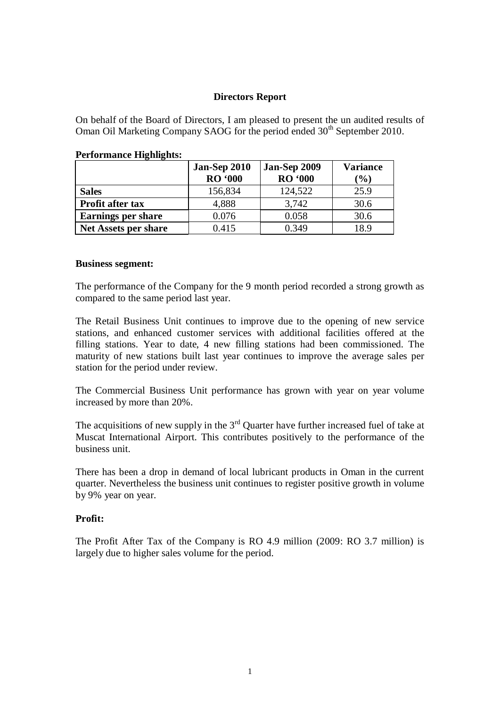# **Directors Report**

On behalf of the Board of Directors, I am pleased to present the un audited results of Oman Oil Marketing Company SAOG for the period ended 30<sup>th</sup> September 2010.

| ----------                  | Jan-Sep 2010<br><b>RO</b> '000 | Jan-Sep 2009<br><b>RO</b> '000 | <b>Variance</b><br>$(\%)$ |
|-----------------------------|--------------------------------|--------------------------------|---------------------------|
| <b>Sales</b>                | 156,834                        | 124,522                        | 25.9                      |
| Profit after tax            | 4,888                          | 3,742                          | 30.6                      |
| <b>Earnings per share</b>   | 0.076                          | 0.058                          | 30.6                      |
| <b>Net Assets per share</b> | 0.415                          | 0.349                          | 18.9                      |

#### **Performance Highlights:**

#### **Business segment:**

The performance of the Company for the 9 month period recorded a strong growth as compared to the same period last year.

The Retail Business Unit continues to improve due to the opening of new service stations, and enhanced customer services with additional facilities offered at the filling stations. Year to date, 4 new filling stations had been commissioned. The maturity of new stations built last year continues to improve the average sales per station for the period under review.

The Commercial Business Unit performance has grown with year on year volume increased by more than 20%.

The acquisitions of new supply in the  $3<sup>rd</sup>$  Quarter have further increased fuel of take at Muscat International Airport. This contributes positively to the performance of the business unit.

There has been a drop in demand of local lubricant products in Oman in the current quarter. Nevertheless the business unit continues to register positive growth in volume by 9% year on year.

### **Profit:**

The Profit After Tax of the Company is RO 4.9 million (2009: RO 3.7 million) is largely due to higher sales volume for the period.